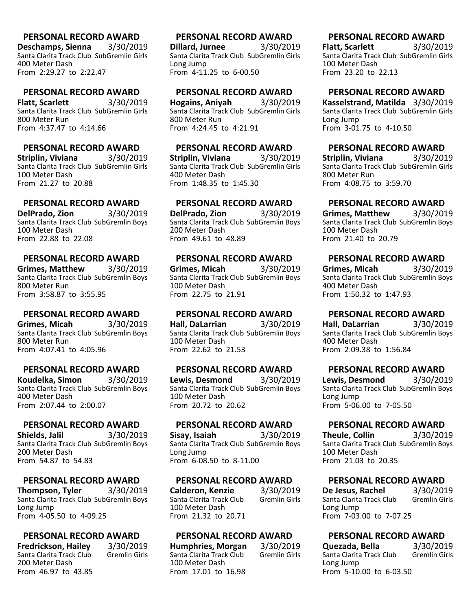**Deschamps, Sienna** 3/30/2019 Santa Clarita Track Club SubGremlin Girls 400 Meter Dash From 2:29.27 to 2:22.47

#### **PERSONAL RECORD AWARD**

**Flatt, Scarlett** 3/30/2019 Santa Clarita Track Club SubGremlin Girls 800 Meter Run From 4:37.47 to 4:14.66

# **PERSONAL RECORD AWARD**

**Striplin, Viviana** 3/30/2019 Santa Clarita Track Club SubGremlin Girls 100 Meter Dash From 21.27 to 20.88

# **PERSONAL RECORD AWARD**

**DelPrado, Zion** 3/30/2019 Santa Clarita Track Club SubGremlin Boys 100 Meter Dash From 22.88 to 22.08

#### **PERSONAL RECORD AWARD**

**Grimes, Matthew** 3/30/2019 Santa Clarita Track Club SubGremlin Boys 800 Meter Run From 3:58.87 to 3:55.95

#### **PERSONAL RECORD AWARD**

**Grimes, Micah** 3/30/2019 Santa Clarita Track Club SubGremlin Boys 800 Meter Run From 4:07.41 to 4:05.96

#### **PERSONAL RECORD AWARD**

**Koudelka, Simon** 3/30/2019 Santa Clarita Track Club SubGremlin Boys 400 Meter Dash From 2:07.44 to 2:00.07

#### **PERSONAL RECORD AWARD**

**Shields, Jalil** 3/30/2019 Santa Clarita Track Club SubGremlin Boys 200 Meter Dash From 54.87 to 54.83

#### **PERSONAL RECORD AWARD**

**Thompson, Tyler** 3/30/2019 Santa Clarita Track Club SubGremlin Boys Long Jump From 4-05.50 to 4-09.25

#### **PERSONAL RECORD AWARD**

**Fredrickson, Hailey** 3/30/2019 Santa Clarita Track Club 200 Meter Dash From 46.97 to 43.85

# **PERSONAL RECORD AWARD**

**Dillard, Jurnee** 3/30/2019 Santa Clarita Track Club SubGremlin Girls Long Jump From 4-11.25 to 6-00.50

#### **PERSONAL RECORD AWARD**

**Hogains, Aniyah** 3/30/2019 Santa Clarita Track Club SubGremlin Girls 800 Meter Run From 4:24.45 to 4:21.91

#### **PERSONAL RECORD AWARD**

**Striplin, Viviana** 3/30/2019 Santa Clarita Track Club SubGremlin Girls 400 Meter Dash From 1:48.35 to 1:45.30

# **PERSONAL RECORD AWARD**

**DelPrado, Zion** 3/30/2019 Santa Clarita Track Club SubGremlin Boys 200 Meter Dash From 49.61 to 48.89

#### **PERSONAL RECORD AWARD**

**Grimes, Micah** 3/30/2019 Santa Clarita Track Club SubGremlin Boys 100 Meter Dash From 22.75 to 21.91

#### **PERSONAL RECORD AWARD**

**Hall, DaLarrian** 3/30/2019 Santa Clarita Track Club SubGremlin Boys 100 Meter Dash From 22.62 to 21.53

#### **PERSONAL RECORD AWARD**

**Lewis, Desmond** 3/30/2019 Santa Clarita Track Club SubGremlin Boys 100 Meter Dash From 20.72 to 20.62

#### **PERSONAL RECORD AWARD**

**Sisay, Isaiah** 3/30/2019 Santa Clarita Track Club SubGremlin Boys Long Jump From 6-08.50 to 8-11.00

#### **PERSONAL RECORD AWARD**

**Calderon, Kenzie** 3/30/2019<br>Santa Clarita Track Club Gremlin Girls Santa Clarita Track Club 100 Meter Dash From 21.32 to 20.71

#### **PERSONAL RECORD AWARD**

**Humphries, Morgan** 3/30/2019 Santa Clarita Track Club 100 Meter Dash From 17.01 to 16.98

# **PERSONAL RECORD AWARD**

**Flatt, Scarlett** 3/30/2019 Santa Clarita Track Club SubGremlin Girls 100 Meter Dash From 23.20 to 22.13

#### **PERSONAL RECORD AWARD**

**Kasselstrand, Matilda** 3/30/2019 Santa Clarita Track Club SubGremlin Girls Long Jump From 3-01.75 to 4-10.50

#### **PERSONAL RECORD AWARD**

**Striplin, Viviana** 3/30/2019 Santa Clarita Track Club SubGremlin Girls 800 Meter Run From 4:08.75 to 3:59.70

# **PERSONAL RECORD AWARD**

**Grimes, Matthew** 3/30/2019 Santa Clarita Track Club SubGremlin Boys 100 Meter Dash From 21.40 to 20.79

#### **PERSONAL RECORD AWARD**

**Grimes, Micah** 3/30/2019 Santa Clarita Track Club SubGremlin Boys 400 Meter Dash From 1:50.32 to 1:47.93

#### **PERSONAL RECORD AWARD**

**Hall, DaLarrian** 3/30/2019 Santa Clarita Track Club SubGremlin Boys 400 Meter Dash From 2:09.38 to 1:56.84

#### **PERSONAL RECORD AWARD**

**Lewis, Desmond** 3/30/2019 Santa Clarita Track Club SubGremlin Boys Long Jump From 5-06.00 to 7-05.50

#### **PERSONAL RECORD AWARD**

**Theule, Collin** 3/30/2019 Santa Clarita Track Club SubGremlin Boys 100 Meter Dash From 21.03 to 20.35

#### **PERSONAL RECORD AWARD**

**De Jesus, Rachel** 3/30/2019<br>
Santa Clarita Track Club Gremlin Girls Santa Clarita Track Club Long Jump From 7-03.00 to 7-07.25

#### **PERSONAL RECORD AWARD**

**Quezada, Bella** 3/30/2019<br>
Santa Clarita Track Club Gremlin Girls Santa Clarita Track Club Long Jump From 5-10.00 to 6-03.50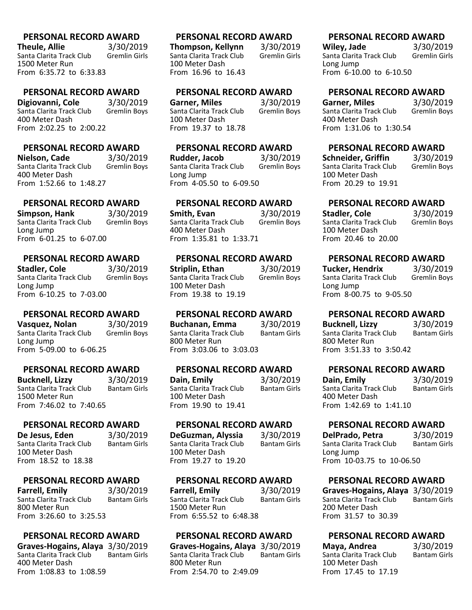**Theule, Allie** 3/30/2019<br>Santa Clarita Track Club Gremlin Girls Santa Clarita Track Club 1500 Meter Run From 6:35.72 to 6:33.83

#### **PERSONAL RECORD AWARD**

**Digiovanni, Cole** 3/30/2019<br>Santa Clarita Track Club Gremlin Boys Santa Clarita Track Club 400 Meter Dash From 2:02.25 to 2:00.22

# **PERSONAL RECORD AWARD**

**Nielson, Cade** 3/30/2019<br>Santa Clarita Track Club Gremlin Bovs Santa Clarita Track Club 400 Meter Dash From 1:52.66 to 1:48.27

# **PERSONAL RECORD AWARD**

**Simpson, Hank** 3/30/2019<br>Santa Clarita Track Club Gremlin Bovs Santa Clarita Track Club Long Jump From 6-01.25 to 6-07.00

#### **PERSONAL RECORD AWARD**

**Stadler, Cole** 3/30/2019<br>Santa Clarita Track Club Gremlin Boys Santa Clarita Track Club Long Jump From 6-10.25 to 7-03.00

#### **PERSONAL RECORD AWARD**

**Vasquez, Nolan** 3/30/2019 Santa Clarita Track Club Gremlin Boys Long Jump From 5-09.00 to 6-06.25

#### **PERSONAL RECORD AWARD**

**Bucknell, Lizzy** 3/30/2019<br>Santa Clarita Track Club Bantam Girls Santa Clarita Track Club 1500 Meter Run From 7:46.02 to 7:40.65

#### **PERSONAL RECORD AWARD**

**De Jesus, Eden** 3/30/2019<br>Santa Clarita Track Club Bantam Girls Santa Clarita Track Club 100 Meter Dash From 18.52 to 18.38

#### **PERSONAL RECORD AWARD**

**Farrell, Emily** 3/30/2019<br>Santa Clarita Track Club Bantam Girls Santa Clarita Track Club 800 Meter Run From 3:26.60 to 3:25.53

#### **PERSONAL RECORD AWARD**

**Graves-Hogains, Alaya** 3/30/2019 Santa Clarita Track Club 400 Meter Dash From 1:08.83 to 1:08.59

#### **PERSONAL RECORD AWARD**

**Thompson, Kellynn** 3/30/2019 Santa Clarita Track Club 100 Meter Dash From 16.96 to 16.43

#### **PERSONAL RECORD AWARD**

**Garner, Miles** 3/30/2019<br>Santa Clarita Track Club Gremlin Boys Santa Clarita Track Club 100 Meter Dash From 19.37 to 18.78

# **PERSONAL RECORD AWARD**

**Rudder, Jacob** 3/30/2019<br>Santa Clarita Track Club Gremlin Bovs Santa Clarita Track Club Long Jump From 4-05.50 to 6-09.50

# **PERSONAL RECORD AWARD**

**Smith, Evan** 3/30/2019 Santa Clarita Track Club 400 Meter Dash From 1:35.81 to 1:33.71

#### **PERSONAL RECORD AWARD**

**Striplin, Ethan** 3/30/2019<br>Santa Clarita Track Club Gremlin Boys Santa Clarita Track Club 100 Meter Dash From 19.38 to 19.19

#### **PERSONAL RECORD AWARD**

**Buchanan, Emma** 3/30/2019 Santa Clarita Track Club 800 Meter Run From 3:03.06 to 3:03.03

#### **PERSONAL RECORD AWARD**

**Dain, Emily** 3/30/2019<br>Santa Clarita Track Club Bantam Girls Santa Clarita Track Club 100 Meter Dash From 19.90 to 19.41

### **PERSONAL RECORD AWARD**

**DeGuzman, Alyssia** 3/30/2019 Santa Clarita Track Club 100 Meter Dash From 19.27 to 19.20

#### **PERSONAL RECORD AWARD**

**Farrell, Emily** 3/30/2019<br>Santa Clarita Track Club Bantam Girls Santa Clarita Track Club 1500 Meter Run From 6:55.52 to 6:48.38

#### **PERSONAL RECORD AWARD**

**Graves-Hogains, Alaya** 3/30/2019 Santa Clarita Track Club 800 Meter Run From 2:54.70 to 2:49.09

#### **PERSONAL RECORD AWARD**

**Wiley, Jade** 3/30/2019<br>
Santa Clarita Track Club Gremlin Girls Santa Clarita Track Club Long Jump From 6-10.00 to 6-10.50

#### **PERSONAL RECORD AWARD**

**Garner, Miles** 3/30/2019<br>
Santa Clarita Track Club Gremlin Boys Santa Clarita Track Club 400 Meter Dash From 1:31.06 to 1:30.54

#### **PERSONAL RECORD AWARD**

**Schneider, Griffin** 3/30/2019<br>
Santa Clarita Track Club Gremlin Bovs Santa Clarita Track Club 100 Meter Dash From 20.29 to 19.91

# **PERSONAL RECORD AWARD**

**Stadler, Cole** 3/30/2019<br>
Santa Clarita Track Club Gremlin Bovs Santa Clarita Track Club 100 Meter Dash From 20.46 to 20.00

#### **PERSONAL RECORD AWARD**

**Tucker, Hendrix** 3/30/2019<br>
Santa Clarita Track Club Gremlin Boys Santa Clarita Track Club Long Jump From 8-00.75 to 9-05.50

#### **PERSONAL RECORD AWARD**

**Bucknell, Lizzy** 3/30/2019<br>
Santa Clarita Track Club Bantam Girls Santa Clarita Track Club 800 Meter Run From 3:51.33 to 3:50.42

#### **PERSONAL RECORD AWARD**

**Dain, Emily** 3/30/2019<br>Santa Clarita Track Club Bantam Girls Santa Clarita Track Club 400 Meter Dash From 1:42.69 to 1:41.10

#### **PERSONAL RECORD AWARD**

**DelPrado, Petra** 3/30/2019<br>Santa Clarita Track Club Bantam Girls Santa Clarita Track Club Long Jump From 10-03.75 to 10-06.50

#### **PERSONAL RECORD AWARD**

**Graves-Hogains, Alaya** 3/30/2019 Santa Clarita Track Club 200 Meter Dash From 31.57 to 30.39

| Maya, Andrea             | 3/30/2019           |
|--------------------------|---------------------|
| Santa Clarita Track Club | <b>Bantam Girls</b> |
| 100 Meter Dash           |                     |
| From 17.45 to 17.19      |                     |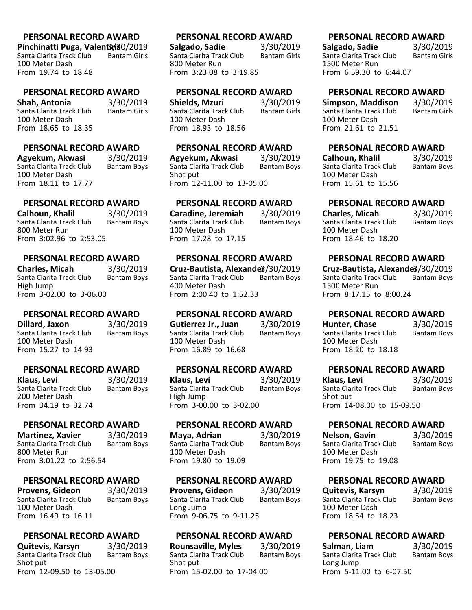**Pinchinatti Puga, Valent 3pa0/2019**<br>Santa Clarita Track Club Bantam Girls Santa Clarita Track Club 100 Meter Dash From 19.74 to 18.48

#### **PERSONAL RECORD AWARD**

**Shah, Antonia** 3/30/2019 Santa Clarita Track Club 100 Meter Dash From 18.65 to 18.35

# **PERSONAL RECORD AWARD**

**Agyekum, Akwasi** 3/30/2019 Santa Clarita Track Club 100 Meter Dash From 18.11 to 17.77

# **PERSONAL RECORD AWARD**

**Calhoun, Khalil** 3/30/2019<br>Santa Clarita Track Club Bantam Bovs Santa Clarita Track Club 800 Meter Run From 3:02.96 to 2:53.05

#### **PERSONAL RECORD AWARD**

**Charles, Micah** 3/30/2019<br>Santa Clarita Track Club Bantam Boys Santa Clarita Track Club High Jump From 3-02.00 to 3-06.00

#### **PERSONAL RECORD AWARD**

**Dillard, Jaxon** 3/30/2019 Santa Clarita Track Club Bantam Boys 100 Meter Dash From 15.27 to 14.93

#### **PERSONAL RECORD AWARD**

**Klaus, Levi** 3/30/2019<br>Santa Clarita Track Club Bantam Boys Santa Clarita Track Club 200 Meter Dash From 34.19 to 32.74

# **PERSONAL RECORD AWARD**

**Martinez, Xavier** 3/30/2019<br>Santa Clarita Track Club Bantam Boys Santa Clarita Track Club 800 Meter Run From 3:01.22 to 2:56.54

# **PERSONAL RECORD AWARD**

**Provens, Gideon** 3/30/2019<br>Santa Clarita Track Club Bantam Boys Santa Clarita Track Club 100 Meter Dash From 16.49 to 16.11

# **PERSONAL RECORD AWARD**

**Quitevis, Karsyn** 3/30/2019<br>Santa Clarita Track Club Bantam Boys Santa Clarita Track Club Shot put From 12-09.50 to 13-05.00

#### **PERSONAL RECORD AWARD**

**Salgado, Sadie** 3/30/2019<br>Santa Clarita Track Club Bantam Girls Santa Clarita Track Club 800 Meter Run From 3:23.08 to 3:19.85

#### **PERSONAL RECORD AWARD**

**Shields, Mzuri** 3/30/2019<br>Santa Clarita Track Club Bantam Girls Santa Clarita Track Club 100 Meter Dash From 18.93 to 18.56

# **PERSONAL RECORD AWARD**

**Agyekum, Akwasi** 3/30/2019 Santa Clarita Track Club Shot put From 12-11.00 to 13-05.00

# **PERSONAL RECORD AWARD**

**Caradine, Jeremiah** 3/30/2019 Santa Clarita Track Club 100 Meter Dash From 17.28 to 17.15

# **PERSONAL RECORD AWARD**

**Cruz-Bautista, Alexandeß/30/2019**<br>Santa Clarita Track Club Bantam Boys Santa Clarita Track Club 400 Meter Dash From 2:00.40 to 1:52.33

#### **PERSONAL RECORD AWARD**

**Gutierrez Jr., Juan** 3/30/2019 Santa Clarita Track Club Bantam Boys 100 Meter Dash From 16.89 to 16.68

#### **PERSONAL RECORD AWARD**

**Klaus, Levi** 3/30/2019<br>Santa Clarita Track Club Bantam Boys Santa Clarita Track Club High Jump From 3-00.00 to 3-02.00

#### **PERSONAL RECORD AWARD**

**Maya, Adrian** 3/30/2019<br>Santa Clarita Track Club Bantam Boys Santa Clarita Track Club 100 Meter Dash From 19.80 to 19.09

#### **PERSONAL RECORD AWARD**

**Provens, Gideon** 3/30/2019<br>Santa Clarita Track Club Bantam Boys Santa Clarita Track Club Long Jump From 9-06.75 to 9-11.25

#### **PERSONAL RECORD AWARD**

**Rounsaville, Myles** 3/30/2019<br>Santa Clarita Track Club Bantam Boys Santa Clarita Track Club Shot put From 15-02.00 to 17-04.00

#### **PERSONAL RECORD AWARD**

**Salgado, Sadie** 3/30/2019<br>Santa Clarita Track Club Bantam Girls Santa Clarita Track Club 1500 Meter Run From 6:59.30 to 6:44.07

# **PERSONAL RECORD AWARD**

**Simpson, Maddison** 3/30/2019<br>Santa Clarita Track Club Bantam Girls Santa Clarita Track Club 100 Meter Dash From 21.61 to 21.51

# **PERSONAL RECORD AWARD**

**Calhoun, Khalil** 3/30/2019<br>Santa Clarita Track Club Bantam Bovs Santa Clarita Track Club 100 Meter Dash From 15.61 to 15.56

# **PERSONAL RECORD AWARD**

**Charles, Micah** 3/30/2019<br>
Santa Clarita Track Club Bantam Bovs Santa Clarita Track Club 100 Meter Dash From 18.46 to 18.20

# **PERSONAL RECORD AWARD**

**Cruz-Bautista, Alexandeß/30/2019**<br>Santa Clarita Track Club Bantam Bovs Santa Clarita Track Club 1500 Meter Run From 8:17.15 to 8:00.24

# **PERSONAL RECORD AWARD**

**Hunter, Chase** 3/30/2019 Santa Clarita Track Club Bantam Boys 100 Meter Dash From 18.20 to 18.18

# **PERSONAL RECORD AWARD**

**Klaus, Levi** 3/30/2019<br>
Santa Clarita Track Club Bantam Boys Santa Clarita Track Club Shot put From 14-08.00 to 15-09.50

# **PERSONAL RECORD AWARD**

| Nelson, Gavin            | 3/30/2019          |
|--------------------------|--------------------|
| Santa Clarita Track Club | <b>Bantam Boys</b> |
| 100 Meter Dash           |                    |
| From 19.75 to 19.08      |                    |

# **PERSONAL RECORD AWARD**

**Quitevis, Karsyn** 3/30/2019<br>Santa Clarita Track Club Bantam Boys Santa Clarita Track Club 100 Meter Dash From 18.54 to 18.23

| Salman, Liam             | 3/30/2019          |
|--------------------------|--------------------|
| Santa Clarita Track Club | <b>Bantam Boys</b> |
| Long Jump                |                    |
| From 5-11.00 to 6-07.50  |                    |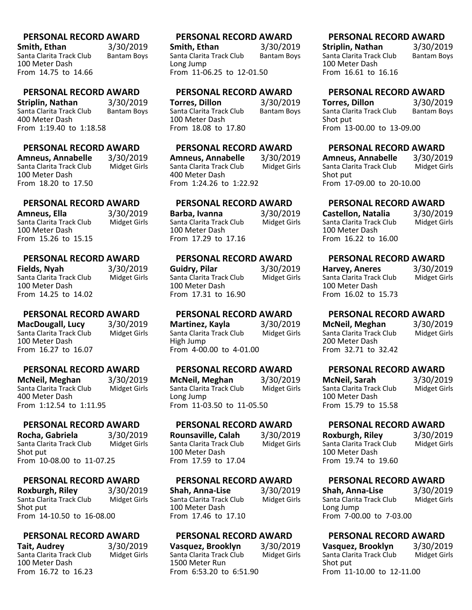**Smith, Ethan** 3/30/2019<br>Santa Clarita Track Club Bantam Boys Santa Clarita Track Club 100 Meter Dash From 14.75 to 14.66

# **PERSONAL RECORD AWARD**

**Striplin, Nathan** 3/30/2019<br>Santa Clarita Track Club Bantam Boys Santa Clarita Track Club 400 Meter Dash From 1:19.40 to 1:18.58

# **PERSONAL RECORD AWARD**

**Amneus, Annabelle** 3/30/2019 Santa Clarita Track Club 100 Meter Dash From 18.20 to 17.50

# **PERSONAL RECORD AWARD**

**Amneus, Ella** 3/30/2019<br>Santa Clarita Track Club Midget Girls Santa Clarita Track Club 100 Meter Dash From 15.26 to 15.15

### **PERSONAL RECORD AWARD**

**Fields, Nyah** 3/30/2019<br>Santa Clarita Track Club Midget Girls Santa Clarita Track Club 100 Meter Dash From 14.25 to 14.02

# **PERSONAL RECORD AWARD**

**MacDougall, Lucy** 3/30/2019<br>Santa Clarita Track Club Midget Girls Santa Clarita Track Club 100 Meter Dash From 16.27 to 16.07

#### **PERSONAL RECORD AWARD**

**McNeil, Meghan** 3/30/2019<br>Santa Clarita Track Club Midget Girls Santa Clarita Track Club 400 Meter Dash From 1:12.54 to 1:11.95

#### **PERSONAL RECORD AWARD**

**Rocha, Gabriela** 3/30/2019<br>Santa Clarita Track Club Midget Girls Santa Clarita Track Club Shot put From 10-08.00 to 11-07.25

#### **PERSONAL RECORD AWARD**

**Roxburgh, Riley** 3/30/2019<br>Santa Clarita Track Club Midget Girls Santa Clarita Track Club Shot put From 14-10.50 to 16-08.00

#### **PERSONAL RECORD AWARD**

**Tait, Audrey** 3/30/2019<br>Santa Clarita Track Club Midget Girls Santa Clarita Track Club 100 Meter Dash From 16.72 to 16.23

# **PERSONAL RECORD AWARD**

**Smith, Ethan** 3/30/2019<br>Santa Clarita Track Club Bantam Bovs Santa Clarita Track Club Long Jump From 11-06.25 to 12-01.50

#### **PERSONAL RECORD AWARD**

**Torres, Dillon** 3/30/2019<br>Santa Clarita Track Club Bantam Boys Santa Clarita Track Club 100 Meter Dash From 18.08 to 17.80

# **PERSONAL RECORD AWARD**

**Amneus, Annabelle** 3/30/2019 Santa Clarita Track Club 400 Meter Dash From 1:24.26 to 1:22.92

# **PERSONAL RECORD AWARD**

**Barba, Ivanna** 3/30/2019<br>Santa Clarita Track Club Midget Girls Santa Clarita Track Club 100 Meter Dash From 17.29 to 17.16

#### **PERSONAL RECORD AWARD**

**Guidry, Pilar** 3/30/2019<br>Santa Clarita Track Club Midget Girls Santa Clarita Track Club 100 Meter Dash From 17.31 to 16.90

#### **PERSONAL RECORD AWARD**

**Martinez, Kayla** 3/30/2019 Santa Clarita Track Club Midget Girls High Jump From 4-00.00 to 4-01.00

#### **PERSONAL RECORD AWARD**

**McNeil, Meghan** 3/30/2019<br>Santa Clarita Track Club Midget Girls Santa Clarita Track Club Long Jump From 11-03.50 to 11-05.50

#### **PERSONAL RECORD AWARD**

**Rounsaville, Calah** 3/30/2019<br>Santa Clarita Track Club Midget Girls Santa Clarita Track Club 100 Meter Dash From 17.59 to 17.04

#### **PERSONAL RECORD AWARD**

**Shah, Anna-Lise** 3/30/2019<br>Santa Clarita Track Club Midget Girls Santa Clarita Track Club 100 Meter Dash From 17.46 to 17.10

#### **PERSONAL RECORD AWARD**

**Vasquez, Brooklyn** 3/30/2019<br>Santa Clarita Track Club Midget Girls Santa Clarita Track Club 1500 Meter Run From 6:53.20 to 6:51.90

# **PERSONAL RECORD AWARD**

**Striplin, Nathan** 3/30/2019<br>Santa Clarita Track Club Bantam Boys Santa Clarita Track Club 100 Meter Dash From 16.61 to 16.16

#### **PERSONAL RECORD AWARD**

**Torres, Dillon** 3/30/2019<br>Santa Clarita Track Club Bantam Boys Santa Clarita Track Club Shot put From 13-00.00 to 13-09.00

#### **PERSONAL RECORD AWARD**

**Amneus, Annabelle** 3/30/2019<br>Santa Clarita Track Club Midget Girls Santa Clarita Track Club Shot put From 17-09.00 to 20-10.00

# **PERSONAL RECORD AWARD**

**Castellon, Natalia** 3/30/2019<br>Santa Clarita Track Club Midget Girls Santa Clarita Track Club 100 Meter Dash From 16.22 to 16.00

#### **PERSONAL RECORD AWARD**

**Harvey, Aneres** 3/30/2019<br>Santa Clarita Track Club Midget Girls Santa Clarita Track Club 100 Meter Dash From 16.02 to 15.73

#### **PERSONAL RECORD AWARD**

**McNeil, Meghan** 3/30/2019<br>Santa Clarita Track Club Midget Girls Santa Clarita Track Club 200 Meter Dash From 32.71 to 32.42

#### **PERSONAL RECORD AWARD**

**McNeil, Sarah** 3/30/2019<br>Santa Clarita Track Club Midget Girls Santa Clarita Track Club 100 Meter Dash From 15.79 to 15.58

#### **PERSONAL RECORD AWARD**

**Roxburgh, Riley** 3/30/2019<br>
Santa Clarita Track Club Midget Girls Santa Clarita Track Club 100 Meter Dash From 19.74 to 19.60

#### **PERSONAL RECORD AWARD**

**Shah, Anna-Lise** 3/30/2019<br>Santa Clarita Track Club Midget Girls Santa Clarita Track Club Long Jump From 7-00.00 to 7-03.00

| Vasquez, Brooklyn         | 3/30/2019           |
|---------------------------|---------------------|
| Santa Clarita Track Club  | <b>Midget Girls</b> |
| Shot put                  |                     |
| From 11-10.00 to 12-11.00 |                     |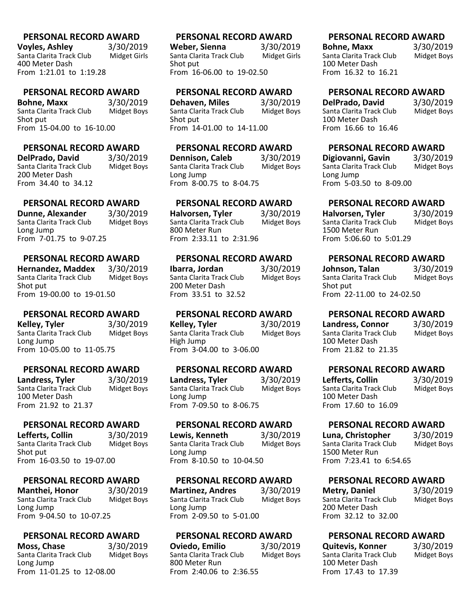**Voyles, Ashley** 3/30/2019<br>Santa Clarita Track Club Midget Girls Santa Clarita Track Club 400 Meter Dash From 1:21.01 to 1:19.28

#### **PERSONAL RECORD AWARD**

**Bohne, Maxx** 3/30/2019<br>Santa Clarita Track Club Midget Boys Santa Clarita Track Club Shot put From 15-04.00 to 16-10.00

#### **PERSONAL RECORD AWARD**

**DelPrado, David** 3/30/2019<br>Santa Clarita Track Club Midget Boys Santa Clarita Track Club 200 Meter Dash From 34.40 to 34.12

# **PERSONAL RECORD AWARD**

**Dunne, Alexander** 3/30/2019<br>Santa Clarita Track Club Midget Boys Santa Clarita Track Club Long Jump From 7-01.75 to 9-07.25

### **PERSONAL RECORD AWARD**

**Hernandez, Maddex** 3/30/2019<br>Santa Clarita Track Club Midget Boys Santa Clarita Track Club Shot put From 19-00.00 to 19-01.50

#### **PERSONAL RECORD AWARD**

**Kelley, Tyler** 3/30/2019 Santa Clarita Track Club Midget Boys Long Jump From 10-05.00 to 11-05.75

#### **PERSONAL RECORD AWARD**

**Landress, Tyler** 3/30/2019<br>Santa Clarita Track Club Midget Boys Santa Clarita Track Club 100 Meter Dash From 21.92 to 21.37

#### **PERSONAL RECORD AWARD**

**Lefferts, Collin** 3/30/2019<br>Santa Clarita Track Club Midget Boys Santa Clarita Track Club Shot put From 16-03.50 to 19-07.00

#### **PERSONAL RECORD AWARD**

**Manthei, Honor** 3/30/2019<br>Santa Clarita Track Club Midget Boys Santa Clarita Track Club Long Jump From 9-04.50 to 10-07.25

#### **PERSONAL RECORD AWARD**

**Moss, Chase** 3/30/2019<br>Santa Clarita Track Club Midget Boys Santa Clarita Track Club Long Jump From 11-01.25 to 12-08.00

#### **PERSONAL RECORD AWARD**

**Weber, Sienna** 3/30/2019<br>Santa Clarita Track Club Midget Girls Santa Clarita Track Club Shot put From 16-06.00 to 19-02.50

#### **PERSONAL RECORD AWARD**

**Dehaven, Miles** 3/30/2019<br>Santa Clarita Track Club Midget Boys Santa Clarita Track Club Shot put From 14-01.00 to 14-11.00

#### **PERSONAL RECORD AWARD**

**Dennison, Caleb** 3/30/2019<br>Santa Clarita Track Club Midget Boys Santa Clarita Track Club Long Jump From 8-00.75 to 8-04.75

# **PERSONAL RECORD AWARD**

**Halvorsen, Tyler** 3/30/2019<br>Santa Clarita Track Club Midget Boys Santa Clarita Track Club 800 Meter Run From 2:33.11 to 2:31.96

#### **PERSONAL RECORD AWARD**

**Ibarra, Jordan** 3/30/2019<br>Santa Clarita Track Club Midget Boys Santa Clarita Track Club 200 Meter Dash From 33.51 to 32.52

#### **PERSONAL RECORD AWARD**

**Kelley, Tyler** 3/30/2019 Santa Clarita Track Club Midget Boys High Jump From 3-04.00 to 3-06.00

#### **PERSONAL RECORD AWARD**

**Landress, Tyler** 3/30/2019<br>Santa Clarita Track Club Midget Boys Santa Clarita Track Club Long Jump From 7-09.50 to 8-06.75

#### **PERSONAL RECORD AWARD**

**Lewis, Kenneth** 3/30/2019<br>Santa Clarita Track Club Midget Boys Santa Clarita Track Club Long Jump From 8-10.50 to 10-04.50

#### **PERSONAL RECORD AWARD**

**Martinez, Andres** 3/30/2019<br>Santa Clarita Track Club Midget Boys Santa Clarita Track Club Long Jump From 2-09.50 to 5-01.00

#### **PERSONAL RECORD AWARD**

**Oviedo, Emilio** 3/30/2019<br>Santa Clarita Track Club Midget Boys Santa Clarita Track Club 800 Meter Run From 2:40.06 to 2:36.55

#### **PERSONAL RECORD AWARD**

**Bohne, Maxx** 3/30/2019<br>
Santa Clarita Track Club Midget Boys Santa Clarita Track Club 100 Meter Dash From 16.32 to 16.21

#### **PERSONAL RECORD AWARD**

**DelPrado, David** 3/30/2019<br>
Santa Clarita Track Club Midget Boys Santa Clarita Track Club 100 Meter Dash From 16.66 to 16.46

#### **PERSONAL RECORD AWARD**

**Digiovanni, Gavin** 3/30/2019<br>Santa Clarita Track Club Midget Bovs Santa Clarita Track Club Long Jump From 5-03.50 to 8-09.00

# **PERSONAL RECORD AWARD**

**Halvorsen, Tyler** 3/30/2019<br>Santa Clarita Track Club Midget Boys Santa Clarita Track Club 1500 Meter Run From 5:06.60 to 5:01.29

#### **PERSONAL RECORD AWARD**

| Johnson, Talan            | 3/30/2019          |
|---------------------------|--------------------|
| Santa Clarita Track Club  | <b>Midget Boys</b> |
| Shot put                  |                    |
| From 22-11.00 to 24-02.50 |                    |

# **PERSONAL RECORD AWARD**

| Landress, Connor         | 3/30/2019          |
|--------------------------|--------------------|
| Santa Clarita Track Club | <b>Midget Boys</b> |
| 100 Meter Dash           |                    |
| From 21.82 to 21.35      |                    |

# **PERSONAL RECORD AWARD**

**Lefferts, Collin** 3/30/2019<br>
Santa Clarita Track Club Midget Boys Santa Clarita Track Club 100 Meter Dash From 17.60 to 16.09

#### **PERSONAL RECORD AWARD**

**Luna, Christopher** 3/30/2019<br>
Santa Clarita Track Club Midget Boys Santa Clarita Track Club 1500 Meter Run From 7:23.41 to 6:54.65

#### **PERSONAL RECORD AWARD**

**Metry, Daniel** 3/30/2019<br>
Santa Clarita Track Club Midget Boys Santa Clarita Track Club 200 Meter Dash From 32.12 to 32.00

| <b>Quitevis, Konner</b>  | 3/30/2019          |
|--------------------------|--------------------|
| Santa Clarita Track Club | <b>Midget Boys</b> |
| 100 Meter Dash           |                    |
| From 17.43 to 17.39      |                    |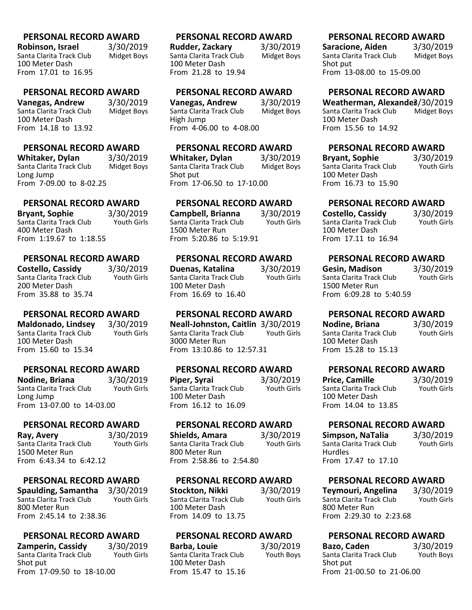**Robinson, Israel** 3/30/2019<br>Santa Clarita Track Club Midget Boys Santa Clarita Track Club 100 Meter Dash From 17.01 to 16.95

#### **PERSONAL RECORD AWARD**

**Vanegas, Andrew** 3/30/2019<br>Santa Clarita Track Club Midget Boys Santa Clarita Track Club 100 Meter Dash From 14.18 to 13.92

#### **PERSONAL RECORD AWARD**

**Whitaker, Dylan** 3/30/2019<br>Santa Clarita Track Club Midget Boys Santa Clarita Track Club Long Jump From 7-09.00 to 8-02.25

# **PERSONAL RECORD AWARD**

**Bryant, Sophie** 3/30/2019<br>Santa Clarita Track Club Youth Girls Santa Clarita Track Club 400 Meter Dash From 1:19.67 to 1:18.55

#### **PERSONAL RECORD AWARD**

**Costello, Cassidy** 3/30/2019 Santa Clarita Track Club 200 Meter Dash From 35.88 to 35.74

# **PERSONAL RECORD AWARD**

**Maldonado, Lindsey** 3/30/2019 Santa Clarita Track Club 100 Meter Dash From 15.60 to 15.34

#### **PERSONAL RECORD AWARD**

**Nodine, Briana** 3/30/2019<br>Santa Clarita Track Club Youth Girls Santa Clarita Track Club Long Jump From 13-07.00 to 14-03.00

#### **PERSONAL RECORD AWARD**

**Ray, Avery** 3/30/2019 Santa Clarita Track Club 1500 Meter Run From 6:43.34 to 6:42.12

#### **PERSONAL RECORD AWARD**

**Spaulding, Samantha** 3/30/2019 Santa Clarita Track Club 800 Meter Run From 2:45.14 to 2:38.36

#### **PERSONAL RECORD AWARD**

**Zamperin, Cassidy** 3/30/2019<br>Santa Clarita Track Club Youth Girls Santa Clarita Track Club Shot put From 17-09.50 to 18-10.00

#### **PERSONAL RECORD AWARD**

**Rudder, Zackary** 3/30/2019<br>Santa Clarita Track Club Midget Boys Santa Clarita Track Club 100 Meter Dash From 21.28 to 19.94

#### **PERSONAL RECORD AWARD**

**Vanegas, Andrew** 3/30/2019<br>Santa Clarita Track Club Midget Boys Santa Clarita Track Club High Jump From 4-06.00 to 4-08.00

# **PERSONAL RECORD AWARD**

**Whitaker, Dylan** 3/30/2019<br>Santa Clarita Track Club Midget Boys Santa Clarita Track Club Shot put From 17-06.50 to 17-10.00

# **PERSONAL RECORD AWARD**

**Campbell, Brianna** 3/30/2019 Santa Clarita Track Club 1500 Meter Run From 5:20.86 to 5:19.91

#### **PERSONAL RECORD AWARD**

**Duenas, Katalina** 3/30/2019 Santa Clarita Track Club 100 Meter Dash From 16.69 to 16.40

#### **PERSONAL RECORD AWARD**

**Neall-Johnston, Caitlin** 3/30/2019 Santa Clarita Track Club 3000 Meter Run From 13:10.86 to 12:57.31

#### **PERSONAL RECORD AWARD**

**Piper, Syrai** 3/30/2019<br>Santa Clarita Track Club Youth Girls Santa Clarita Track Club 100 Meter Dash From 16.12 to 16.09

#### **PERSONAL RECORD AWARD**

**Shields, Amara** 3/30/2019<br>Santa Clarita Track Club Youth Girls Santa Clarita Track Club 800 Meter Run From 2:58.86 to 2:54.80

#### **PERSONAL RECORD AWARD**

**Stockton, Nikki** 3/30/2019<br>Santa Clarita Track Club Youth Girls Santa Clarita Track Club 100 Meter Dash From 14.09 to 13.75

#### **PERSONAL RECORD AWARD**

**Barba, Louie** 3/30/2019<br>
Santa Clarita Track Club Youth Boys Santa Clarita Track Club 100 Meter Dash From 15.47 to 15.16

# **PERSONAL RECORD AWARD**

**Saracione, Aiden** 3/30/2019<br>Santa Clarita Track Club Midget Boys Santa Clarita Track Club Shot put From 13-08.00 to 15-09.00

# **PERSONAL RECORD AWARD**

**Weatherman, Alexandeß/30/2019**<br>Santa Clarita Track Club Midget Boys Santa Clarita Track Club 100 Meter Dash From 15.56 to 14.92

# **PERSONAL RECORD AWARD**

**Bryant, Sophie** 3/30/2019<br>
Santa Clarita Track Club Youth Girls Santa Clarita Track Club 100 Meter Dash From 16.73 to 15.90

# **PERSONAL RECORD AWARD**

**Costello, Cassidy** 3/30/2019 Santa Clarita Track Club 100 Meter Dash From 17.11 to 16.94

# **PERSONAL RECORD AWARD**

**Gesin, Madison** 3/30/2019<br>
Santa Clarita Track Club Youth Girls Santa Clarita Track Club 1500 Meter Run From 6:09.28 to 5:40.59

# **PERSONAL RECORD AWARD**

**Nodine, Briana** 3/30/2019<br>
Santa Clarita Track Club Youth Girls Santa Clarita Track Club 100 Meter Dash From 15.28 to 15.13

# **PERSONAL RECORD AWARD**

**Price, Camille** 3/30/2019<br>
Santa Clarita Track Club Youth Girls Santa Clarita Track Club 100 Meter Dash From 14.04 to 13.85

# **PERSONAL RECORD AWARD**

**Simpson, NaTalia** 3/30/2019 Santa Clarita Track Club Hurdles From 17.47 to 17.10

# **PERSONAL RECORD AWARD**

**Teymouri, Angelina** 3/30/2019 Santa Clarita Track Club 800 Meter Run From 2:29.30 to 2:23.68

| Bazo, Caden               | 3/30/2019  |
|---------------------------|------------|
| Santa Clarita Track Club  | Youth Boys |
| Shot put                  |            |
| From 21-00.50 to 21-06.00 |            |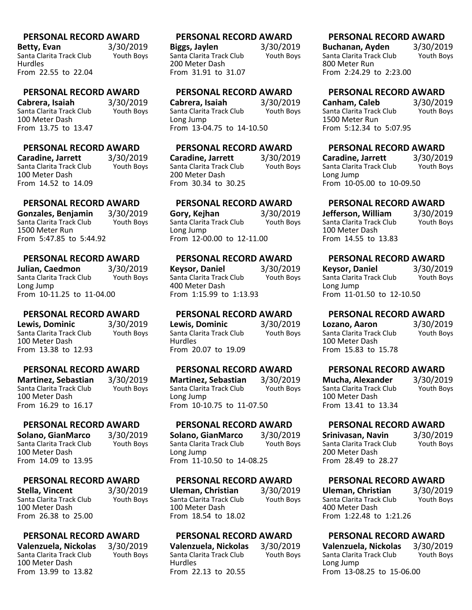**Betty, Evan** 3/30/2019<br>Santa Clarita Track Club Youth Boys Santa Clarita Track Club Hurdles From 22.55 to 22.04

#### **PERSONAL RECORD AWARD**

**Cabrera, Isaiah** 3/30/2019<br>Santa Clarita Track Club Youth Boys Santa Clarita Track Club 100 Meter Dash From 13.75 to 13.47

# **PERSONAL RECORD AWARD**

**Caradine, Jarrett** 3/30/2019 Santa Clarita Track Club 100 Meter Dash From 14.52 to 14.09

# **PERSONAL RECORD AWARD**

**Gonzales, Benjamin** 3/30/2019 Santa Clarita Track Club 1500 Meter Run From 5:47.85 to 5:44.92

# **PERSONAL RECORD AWARD**

**Julian, Caedmon** 3/30/2019 Santa Clarita Track Club Long Jump From 10-11.25 to 11-04.00

#### **PERSONAL RECORD AWARD**

**Lewis, Dominic** 3/30/2019 Santa Clarita Track Club Youth Boys 100 Meter Dash From 13.38 to 12.93

# **PERSONAL RECORD AWARD**

**Martinez, Sebastian** 3/30/2019<br>Santa Clarita Track Club Youth Boys Santa Clarita Track Club 100 Meter Dash From 16.29 to 16.17

#### **PERSONAL RECORD AWARD**

**Solano, GianMarco** 3/30/2019 Santa Clarita Track Club 100 Meter Dash From 14.09 to 13.95

#### **PERSONAL RECORD AWARD**

**Stella, Vincent** 3/30/2019<br>Santa Clarita Track Club Youth Boys Santa Clarita Track Club 100 Meter Dash From 26.38 to 25.00

#### **PERSONAL RECORD AWARD**

**Valenzuela, Nickolas** 3/30/2019 Santa Clarita Track Club 100 Meter Dash From 13.99 to 13.82

# **PERSONAL RECORD AWARD**

**Biggs, Jaylen** 3/30/2019<br>Santa Clarita Track Club Youth Boys Santa Clarita Track Club 200 Meter Dash From 31.91 to 31.07

#### **PERSONAL RECORD AWARD**

**Cabrera, Isaiah** 3/30/2019<br>Santa Clarita Track Club Youth Boys Santa Clarita Track Club Long Jump From 13-04.75 to 14-10.50

#### **PERSONAL RECORD AWARD**

**Caradine, Jarrett** 3/30/2019 Santa Clarita Track Club 200 Meter Dash From 30.34 to 30.25

# **PERSONAL RECORD AWARD**

**Gory, Kejhan** 3/30/2019<br>
Santa Clarita Track Club Youth Bovs Santa Clarita Track Club Long Jump From 12-00.00 to 12-11.00

# **PERSONAL RECORD AWARD**

**Keysor, Daniel** 3/30/2019<br>Santa Clarita Track Club Youth Boys Santa Clarita Track Club 400 Meter Dash From 1:15.99 to 1:13.93

#### **PERSONAL RECORD AWARD**

**Lewis, Dominic** 3/30/2019 Santa Clarita Track Club Youth Boys Hurdles From 20.07 to 19.09

#### **PERSONAL RECORD AWARD**

**Martinez, Sebastian** 3/30/2019<br>Santa Clarita Track Club Youth Boys Santa Clarita Track Club Long Jump From 10-10.75 to 11-07.50

### **PERSONAL RECORD AWARD**

**Solano, GianMarco** 3/30/2019 Santa Clarita Track Club Long Jump From 11-10.50 to 14-08.25

#### **PERSONAL RECORD AWARD**

**Uleman, Christian** 3/30/2019<br>Santa Clarita Track Club Youth Boys Santa Clarita Track Club 100 Meter Dash From 18.54 to 18.02

#### **PERSONAL RECORD AWARD**

**Valenzuela, Nickolas** 3/30/2019 Santa Clarita Track Club **Hurdles** From 22.13 to 20.55

# **PERSONAL RECORD AWARD**

**Buchanan, Ayden** 3/30/2019<br>Santa Clarita Track Club Youth Boys Santa Clarita Track Club 800 Meter Run From 2:24.29 to 2:23.00

# **PERSONAL RECORD AWARD**

**Canham, Caleb** 3/30/2019<br>
Santa Clarita Track Club Youth Boys Santa Clarita Track Club 1500 Meter Run From 5:12.34 to 5:07.95

# **PERSONAL RECORD AWARD**

**Caradine, Jarrett** 3/30/2019 Santa Clarita Track Club Long Jump From 10-05.00 to 10-09.50

# **PERSONAL RECORD AWARD**

**Jefferson, William** 3/30/2019 Santa Clarita Track Club 100 Meter Dash From 14.55 to 13.83

# **PERSONAL RECORD AWARD**

| <b>Keysor, Daniel</b>     | 3/30/2019  |
|---------------------------|------------|
| Santa Clarita Track Club  | Youth Boys |
| Long Jump                 |            |
| From 11-01.50 to 12-10.50 |            |

# **PERSONAL RECORD AWARD**

| Lozano, Aaron            | 3/30/2019  |
|--------------------------|------------|
| Santa Clarita Track Club | Youth Boys |
| 100 Meter Dash           |            |
| From 15.83 to 15.78      |            |

# **PERSONAL RECORD AWARD**

**Mucha, Alexander** 3/30/2019<br>
Santa Clarita Track Club Youth Boys Santa Clarita Track Club 100 Meter Dash From 13.41 to 13.34

# **PERSONAL RECORD AWARD**

| Srinivasan, Navin        | 3/30/2019  |
|--------------------------|------------|
| Santa Clarita Track Club | Youth Boys |
| 200 Meter Dash           |            |
| From 28.49 to 28.27      |            |

# **PERSONAL RECORD AWARD**

**Uleman, Christian** 3/30/2019<br>
Santa Clarita Track Club Youth Boys Santa Clarita Track Club 400 Meter Dash From 1:22.48 to 1:21.26

# **PERSONAL RECORD AWARD**

**Valenzuela, Nickolas** 3/30/2019 Santa Clarita Track Club Long Jump From 13-08.25 to 15-06.00